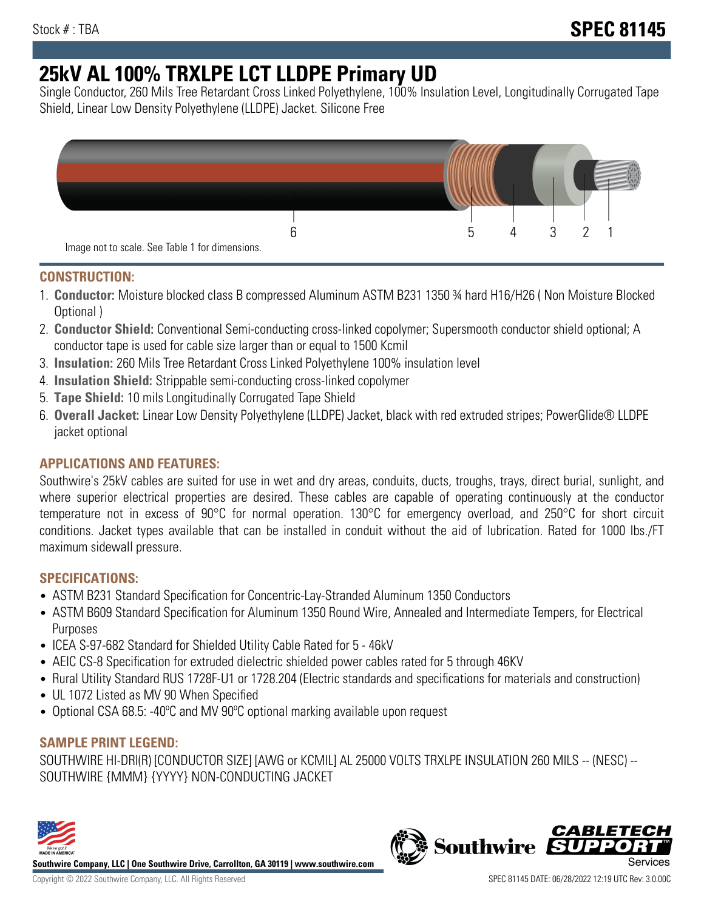# **25kV AL 100% TRXLPE LCT LLDPE Primary UD**

Single Conductor, 260 Mils Tree Retardant Cross Linked Polyethylene, 100% Insulation Level, Longitudinally Corrugated Tape Shield, Linear Low Density Polyethylene (LLDPE) Jacket. Silicone Free



## **CONSTRUCTION:**

- 1. **Conductor:** Moisture blocked class B compressed Aluminum ASTM B231 1350 ¾ hard H16/H26 ( Non Moisture Blocked Optional )
- 2. **Conductor Shield:** Conventional Semi-conducting cross-linked copolymer; Supersmooth conductor shield optional; A conductor tape is used for cable size larger than or equal to 1500 Kcmil
- 3. **Insulation:** 260 Mils Tree Retardant Cross Linked Polyethylene 100% insulation level
- 4. **Insulation Shield:** Strippable semi-conducting cross-linked copolymer
- 5. **Tape Shield:** 10 mils Longitudinally Corrugated Tape Shield
- 6. **Overall Jacket:** Linear Low Density Polyethylene (LLDPE) Jacket, black with red extruded stripes; PowerGlide® LLDPE jacket optional

## **APPLICATIONS AND FEATURES:**

Southwire's 25kV cables are suited for use in wet and dry areas, conduits, ducts, troughs, trays, direct burial, sunlight, and where superior electrical properties are desired. These cables are capable of operating continuously at the conductor temperature not in excess of 90°C for normal operation. 130°C for emergency overload, and 250°C for short circuit conditions. Jacket types available that can be installed in conduit without the aid of lubrication. Rated for 1000 lbs./FT maximum sidewall pressure.

### **SPECIFICATIONS:**

- ASTM B231 Standard Specification for Concentric-Lay-Stranded Aluminum 1350 Conductors
- ASTM B609 Standard Specification for Aluminum 1350 Round Wire, Annealed and Intermediate Tempers, for Electrical Purposes
- ICEA S-97-682 Standard for Shielded Utility Cable Rated for 5 46kV
- AEIC CS-8 Specification for extruded dielectric shielded power cables rated for 5 through 46KV
- Rural Utility Standard RUS 1728F-U1 or 1728.204 (Electric standards and specifications for materials and construction)
- UL 1072 Listed as MV 90 When Specified
- Optional CSA 68.5: -40°C and MV 90°C optional marking available upon request

### **SAMPLE PRINT LEGEND:**

SOUTHWIRE HI-DRI(R) [CONDUCTOR SIZE] [AWG or KCMIL] AL 25000 VOLTS TRXLPE INSULATION 260 MILS -- (NESC) -- SOUTHWIRE {MMM} {YYYY} NON-CONDUCTING JACKET



**Southwire Company, LLC | One Southwire Drive, Carrollton, GA 30119 | www.southwire.com**